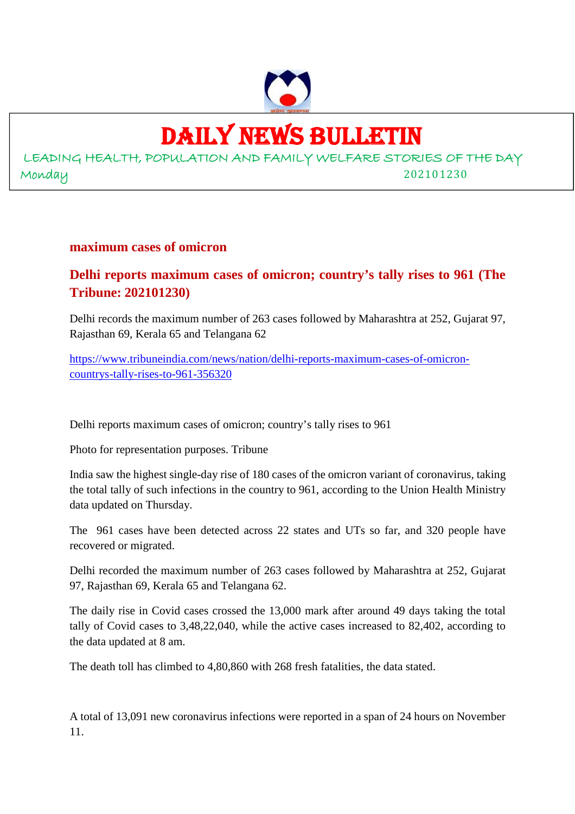

# DAILY NEWS BULLETIN

LEADING HEALTH, POPULATION AND FAMILY WELFARE STORIES OF THE DAY Monday 202101230

# **maximum cases of omicron**

# **Delhi reports maximum cases of omicron; country's tally rises to 961 (The Tribune: 202101230)**

Delhi records the maximum number of 263 cases followed by Maharashtra at 252, Gujarat 97, Rajasthan 69, Kerala 65 and Telangana 62

https://www.tribuneindia.com/news/nation/delhi-reports-maximum-cases-of-omicroncountrys-tally-rises-to-961-356320

Delhi reports maximum cases of omicron; country's tally rises to 961

Photo for representation purposes. Tribune

India saw the highest single-day rise of 180 cases of the omicron variant of coronavirus, taking the total tally of such infections in the country to 961, according to the Union Health Ministry data updated on Thursday.

The 961 cases have been detected across 22 states and UTs so far, and 320 people have recovered or migrated.

Delhi recorded the maximum number of 263 cases followed by Maharashtra at 252, Gujarat 97, Rajasthan 69, Kerala 65 and Telangana 62.

The daily rise in Covid cases crossed the 13,000 mark after around 49 days taking the total tally of Covid cases to 3,48,22,040, while the active cases increased to 82,402, according to the data updated at 8 am.

The death toll has climbed to 4,80,860 with 268 fresh fatalities, the data stated.

A total of 13,091 new coronavirus infections were reported in a span of 24 hours on November 11.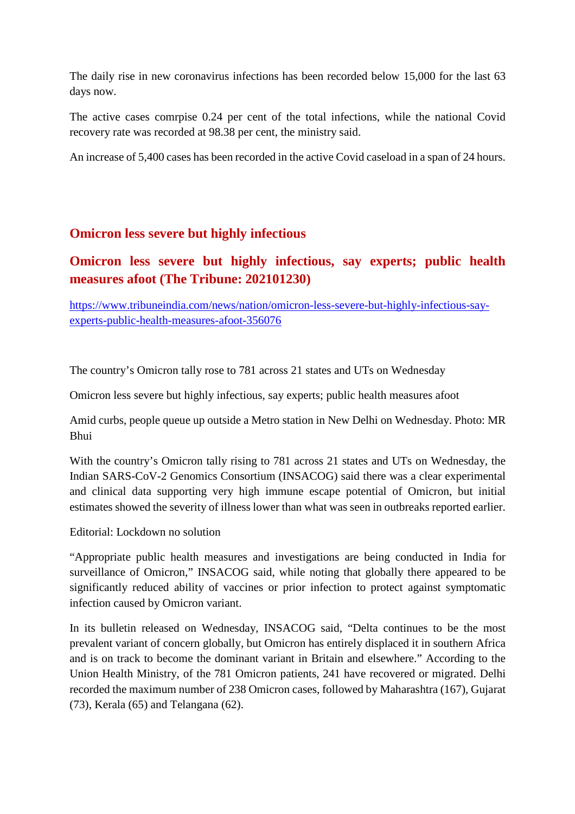The daily rise in new coronavirus infections has been recorded below 15,000 for the last 63 days now.

The active cases comrpise 0.24 per cent of the total infections, while the national Covid recovery rate was recorded at 98.38 per cent, the ministry said.

An increase of 5,400 cases has been recorded in the active Covid caseload in a span of 24 hours.

# **Omicron less severe but highly infectious**

# **Omicron less severe but highly infectious, say experts; public health measures afoot (The Tribune: 202101230)**

https://www.tribuneindia.com/news/nation/omicron-less-severe-but-highly-infectious-sayexperts-public-health-measures-afoot-356076

The country's Omicron tally rose to 781 across 21 states and UTs on Wednesday

Omicron less severe but highly infectious, say experts; public health measures afoot

Amid curbs, people queue up outside a Metro station in New Delhi on Wednesday. Photo: MR Bhui

With the country's Omicron tally rising to 781 across 21 states and UTs on Wednesday, the Indian SARS-CoV-2 Genomics Consortium (INSACOG) said there was a clear experimental and clinical data supporting very high immune escape potential of Omicron, but initial estimates showed the severity of illness lower than what was seen in outbreaks reported earlier.

Editorial: Lockdown no solution

"Appropriate public health measures and investigations are being conducted in India for surveillance of Omicron," INSACOG said, while noting that globally there appeared to be significantly reduced ability of vaccines or prior infection to protect against symptomatic infection caused by Omicron variant.

In its bulletin released on Wednesday, INSACOG said, "Delta continues to be the most prevalent variant of concern globally, but Omicron has entirely displaced it in southern Africa and is on track to become the dominant variant in Britain and elsewhere." According to the Union Health Ministry, of the 781 Omicron patients, 241 have recovered or migrated. Delhi recorded the maximum number of 238 Omicron cases, followed by Maharashtra (167), Gujarat (73), Kerala (65) and Telangana (62).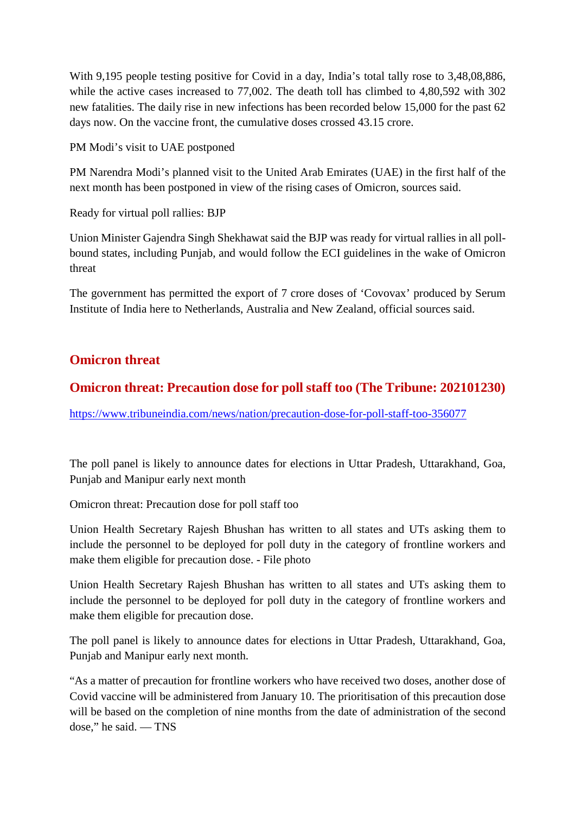With 9,195 people testing positive for Covid in a day, India's total tally rose to 3,48,08,886, while the active cases increased to 77,002. The death toll has climbed to 4,80,592 with 302 new fatalities. The daily rise in new infections has been recorded below 15,000 for the past 62 days now. On the vaccine front, the cumulative doses crossed 43.15 crore.

PM Modi's visit to UAE postponed

PM Narendra Modi's planned visit to the United Arab Emirates (UAE) in the first half of the next month has been postponed in view of the rising cases of Omicron, sources said.

Ready for virtual poll rallies: BJP

Union Minister Gajendra Singh Shekhawat said the BJP was ready for virtual rallies in all pollbound states, including Punjab, and would follow the ECI guidelines in the wake of Omicron threat

The government has permitted the export of 7 crore doses of 'Covovax' produced by Serum Institute of India here to Netherlands, Australia and New Zealand, official sources said.

# **Omicron threat**

# **Omicron threat: Precaution dose for poll staff too (The Tribune: 202101230)**

https://www.tribuneindia.com/news/nation/precaution-dose-for-poll-staff-too-356077

The poll panel is likely to announce dates for elections in Uttar Pradesh, Uttarakhand, Goa, Punjab and Manipur early next month

Omicron threat: Precaution dose for poll staff too

Union Health Secretary Rajesh Bhushan has written to all states and UTs asking them to include the personnel to be deployed for poll duty in the category of frontline workers and make them eligible for precaution dose. - File photo

Union Health Secretary Rajesh Bhushan has written to all states and UTs asking them to include the personnel to be deployed for poll duty in the category of frontline workers and make them eligible for precaution dose.

The poll panel is likely to announce dates for elections in Uttar Pradesh, Uttarakhand, Goa, Punjab and Manipur early next month.

"As a matter of precaution for frontline workers who have received two doses, another dose of Covid vaccine will be administered from January 10. The prioritisation of this precaution dose will be based on the completion of nine months from the date of administration of the second dose," he said. — TNS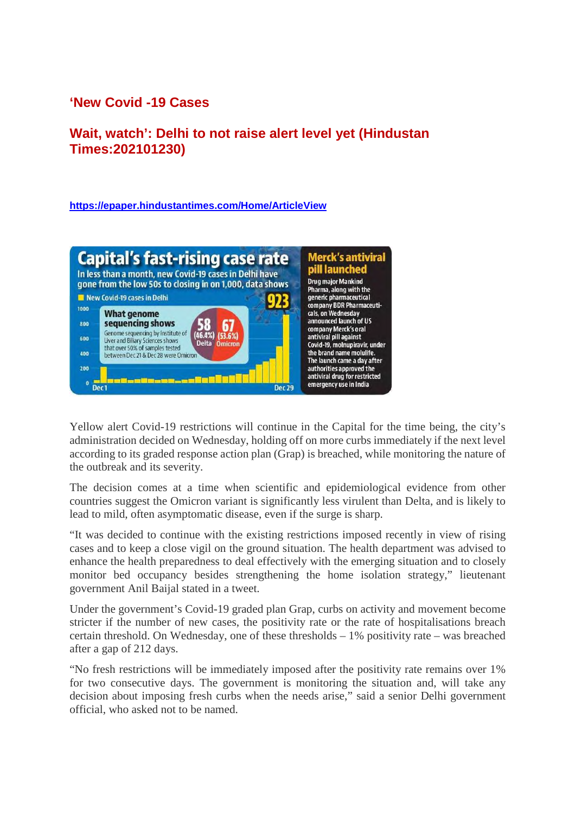# **'New Covid -19 Cases**

# **Wait, watch': Delhi to not raise alert level yet (Hindustan Times:202101230)**

#### **https://epaper.hindustantimes.com/Home/ArticleView**



Yellow alert Covid-19 restrictions will continue in the Capital for the time being, the city's administration decided on Wednesday, holding off on more curbs immediately if the next level according to its graded response action plan (Grap) is breached, while monitoring the nature of the outbreak and its severity.

The decision comes at a time when scientific and epidemiological evidence from other countries suggest the Omicron variant is significantly less virulent than Delta, and is likely to lead to mild, often asymptomatic disease, even if the surge is sharp.

"It was decided to continue with the existing restrictions imposed recently in view of rising cases and to keep a close vigil on the ground situation. The health department was advised to enhance the health preparedness to deal effectively with the emerging situation and to closely monitor bed occupancy besides strengthening the home isolation strategy," lieutenant government Anil Baijal stated in a tweet.

Under the government's Covid-19 graded plan Grap, curbs on activity and movement become stricter if the number of new cases, the positivity rate or the rate of hospitalisations breach certain threshold. On Wednesday, one of these thresholds – 1% positivity rate – was breached after a gap of 212 days.

"No fresh restrictions will be immediately imposed after the positivity rate remains over 1% for two consecutive days. The government is monitoring the situation and, will take any decision about imposing fresh curbs when the needs arise," said a senior Delhi government official, who asked not to be named.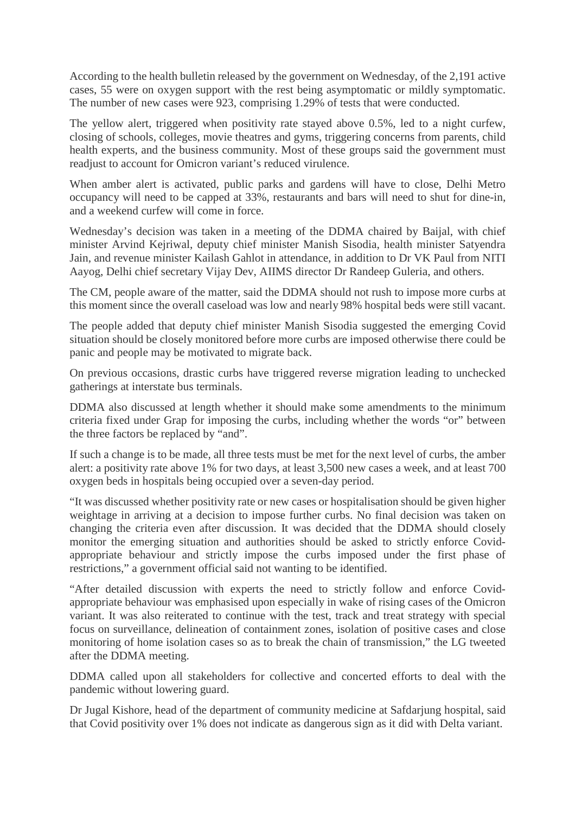According to the health bulletin released by the government on Wednesday, of the 2,191 active cases, 55 were on oxygen support with the rest being asymptomatic or mildly symptomatic. The number of new cases were 923, comprising 1.29% of tests that were conducted.

The yellow alert, triggered when positivity rate stayed above 0.5%, led to a night curfew, closing of schools, colleges, movie theatres and gyms, triggering concerns from parents, child health experts, and the business community. Most of these groups said the government must readjust to account for Omicron variant's reduced virulence.

When amber alert is activated, public parks and gardens will have to close, Delhi Metro occupancy will need to be capped at 33%, restaurants and bars will need to shut for dine-in, and a weekend curfew will come in force.

Wednesday's decision was taken in a meeting of the DDMA chaired by Baijal, with chief minister Arvind Kejriwal, deputy chief minister Manish Sisodia, health minister Satyendra Jain, and revenue minister Kailash Gahlot in attendance, in addition to Dr VK Paul from NITI Aayog, Delhi chief secretary Vijay Dev, AIIMS director Dr Randeep Guleria, and others.

The CM, people aware of the matter, said the DDMA should not rush to impose more curbs at this moment since the overall caseload was low and nearly 98% hospital beds were still vacant.

The people added that deputy chief minister Manish Sisodia suggested the emerging Covid situation should be closely monitored before more curbs are imposed otherwise there could be panic and people may be motivated to migrate back.

On previous occasions, drastic curbs have triggered reverse migration leading to unchecked gatherings at interstate bus terminals.

DDMA also discussed at length whether it should make some amendments to the minimum criteria fixed under Grap for imposing the curbs, including whether the words "or" between the three factors be replaced by "and".

If such a change is to be made, all three tests must be met for the next level of curbs, the amber alert: a positivity rate above 1% for two days, at least 3,500 new cases a week, and at least 700 oxygen beds in hospitals being occupied over a seven-day period.

"It was discussed whether positivity rate or new cases or hospitalisation should be given higher weightage in arriving at a decision to impose further curbs. No final decision was taken on changing the criteria even after discussion. It was decided that the DDMA should closely monitor the emerging situation and authorities should be asked to strictly enforce Covidappropriate behaviour and strictly impose the curbs imposed under the first phase of restrictions," a government official said not wanting to be identified.

"After detailed discussion with experts the need to strictly follow and enforce Covidappropriate behaviour was emphasised upon especially in wake of rising cases of the Omicron variant. It was also reiterated to continue with the test, track and treat strategy with special focus on surveillance, delineation of containment zones, isolation of positive cases and close monitoring of home isolation cases so as to break the chain of transmission," the LG tweeted after the DDMA meeting.

DDMA called upon all stakeholders for collective and concerted efforts to deal with the pandemic without lowering guard.

Dr Jugal Kishore, head of the department of community medicine at Safdarjung hospital, said that Covid positivity over 1% does not indicate as dangerous sign as it did with Delta variant.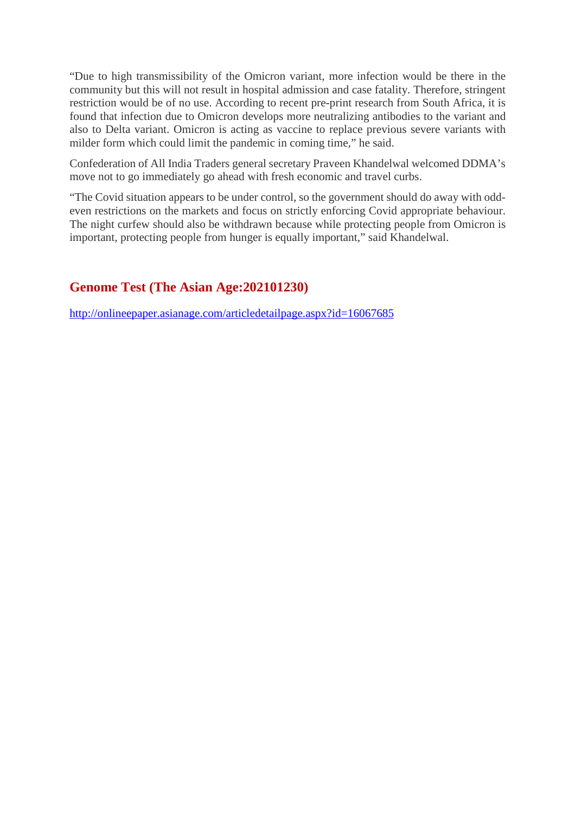"Due to high transmissibility of the Omicron variant, more infection would be there in the community but this will not result in hospital admission and case fatality. Therefore, stringent restriction would be of no use. According to recent pre-print research from South Africa, it is found that infection due to Omicron develops more neutralizing antibodies to the variant and also to Delta variant. Omicron is acting as vaccine to replace previous severe variants with milder form which could limit the pandemic in coming time," he said.

Confederation of All India Traders general secretary Praveen Khandelwal welcomed DDMA's move not to go immediately go ahead with fresh economic and travel curbs.

"The Covid situation appears to be under control, so the government should do away with oddeven restrictions on the markets and focus on strictly enforcing Covid appropriate behaviour. The night curfew should also be withdrawn because while protecting people from Omicron is important, protecting people from hunger is equally important," said Khandelwal.

# **Genome Test (The Asian Age:202101230)**

http://onlineepaper.asianage.com/articledetailpage.aspx?id=16067685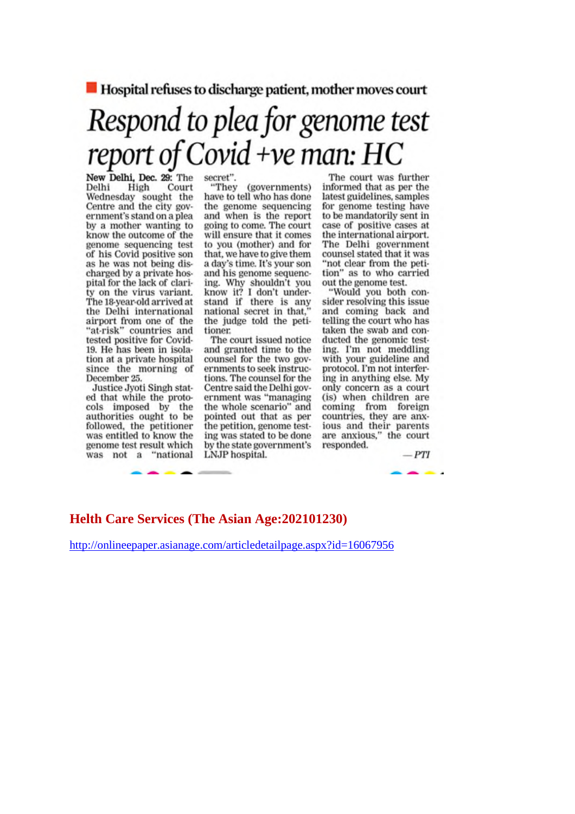$\blacksquare$  Hospital refuses to discharge patient, mother moves court

# Respond to plea for genome test report of Covid +ve man: HC

New Delhi, Dec. 29: The Delhi Court High Wednesday sought the Centre and the city government's stand on a plea by a mother wanting to know the outcome of the genome sequencing test of his Covid positive son as he was not being discharged by a private hospital for the lack of clarity on the virus variant. The 18-year-old arrived at the Delhi international airport from one of the<br>"at-risk" countries and tested positive for Covid-19. He has been in isolation at a private hospital since the morning of December 25.

Justice Jyoti Singh stated that while the protocols imposed by the authorities ought to be followed, the petitioner was entitled to know the genome test result which was not a "national secret".

"They (governments) have to tell who has done the genome sequencing and when is the report going to come. The court will ensure that it comes to you (mother) and for that, we have to give them a day's time. It's your son and his genome sequencing. Why shouldn't you<br>know it? I don't under-<br>stand if there is any national secret in that, the judge told the petitioner.

The court issued notice and granted time to the counsel for the two governments to seek instructions. The counsel for the Centre said the Delhi government was "managing the whole scenario" and pointed out that as per the petition, genome testing was stated to be done by the state government's LNJP hospital.

The court was further informed that as per the latest guidelines, samples for genome testing have to be mandatorily sent in case of positive cases at the international airport. The Delhi government counsel stated that it was "not clear from the petition" as to who carried out the genome test.

"Would you both consider resolving this issue and coming back and telling the court who has taken the swab and conducted the genomic testing. I'm not meddling with your guideline and protocol. I'm not interfering in anything else. My only concern as a court (is) when children are coming from foreign<br>countries, they are anx-<br>ious and their parents are anxious," the court responded.

 $-PTI$ 

### **Helth Care Services (The Asian Age: 202101230)**

http://onlineepaper.asianage.com/articledetailpage.aspx?id=16067956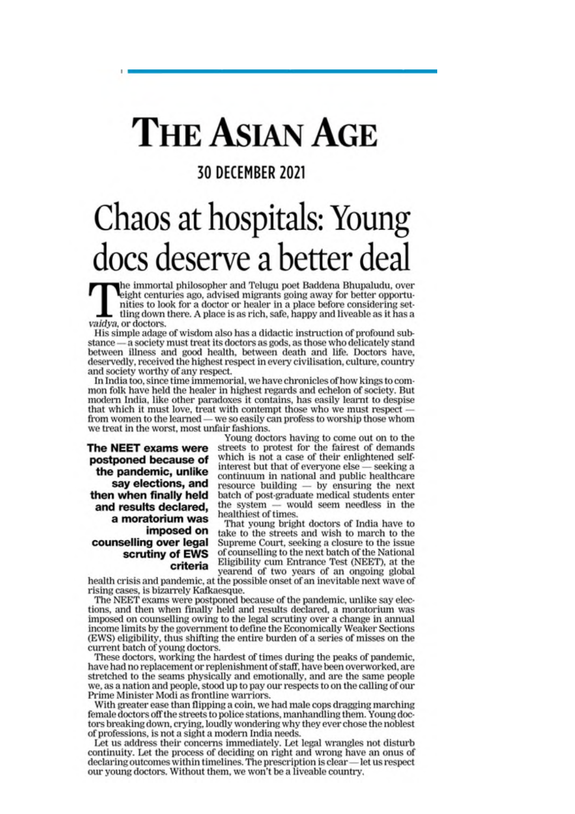# **THE ASIAN AGE**

# **30 DECEMBER 2021**

# Chaos at hospitals: Young docs deserve a better deal

the immortal philosopher and Telugu poet Baddena Bhupaludu, over eight centuries ago, advised migrants going away for better opportunities to look for a doctor or healer in a place before considering settling down there. A place is as rich, safe, happy and liveable as it has a vaidya, or doctors.

His simple adage of wisdom also has a didactic instruction of profound substance - a society must treat its doctors as gods, as those who delicately stand between illness and good health, between death and life. Doctors have, deservedly, received the highest respect in every civilisation, culture, country and society worthy of any respect.

In India too, since time immemorial, we have chronicles of how kings to common folk have held the healer in highest regards and echelon of society. But modern India, like other paradoxes it contains, has easily learnt to despise that which it must love, treat with contempt those who we must respect from women to the learned - we so easily can profess to worship those whom we treat in the worst, most unfair fashions.

The NEET exams were postponed because of the pandemic, unlike say elections, and then when finally held and results declared, a moratorium was imposed on counselling over legal scrutiny of EWS criteria

Young doctors having to come out on to the streets to protest for the fairest of demands which is not a case of their enlightened selfinterest but that of everyone else - seeking a continuum in national and public healthcare resource building  $-$  by ensuring the next batch of post-graduate medical students enter the system - would seem needless in the healthiest of times.

That young bright doctors of India have to take to the streets and wish to march to the Supreme Court, seeking a closure to the issue of counselling to the next batch of the National Eligibility cum Entrance Test (NEET), at the yearend of two years of an ongoing global

health crisis and pandemic, at the possible onset of an inevitable next wave of rising cases, is bizarrely Kafkaesque.

The NEET exams were postponed because of the pandemic, unlike say elections, and then when finally held and results declared, a moratorium was imposed on counselling owing to the legal scrutiny over a change in annual income limits by the government to define the Economically Weaker Sections (EWS) eligibility, thus shifting the entire burden of a series of misses on the current batch of young doctors.

These doctors, working the hardest of times during the peaks of pandemic, have had no replacement or replenishment of staff, have been overworked, are stretched to the seams physically and emotionally, and are the same people we, as a nation and people, stood up to pay our respects to on the calling of our Prime Minister Modi as frontline warriors.

With greater ease than flipping a coin, we had male cops dragging marching female doctors off the streets to police stations, manhandling them. Young doctors breaking down, crying, loudly wondering why they ever chose the noblest of professions, is not a sight a modern India needs.

Let us address their concerns immediately. Let legal wrangles not disturb continuity. Let the process of deciding on right and wrong have an onus of declaring outcomes within timelines. The prescription is clear—let us respect our young doctors. Without them, we won't be a liveable country.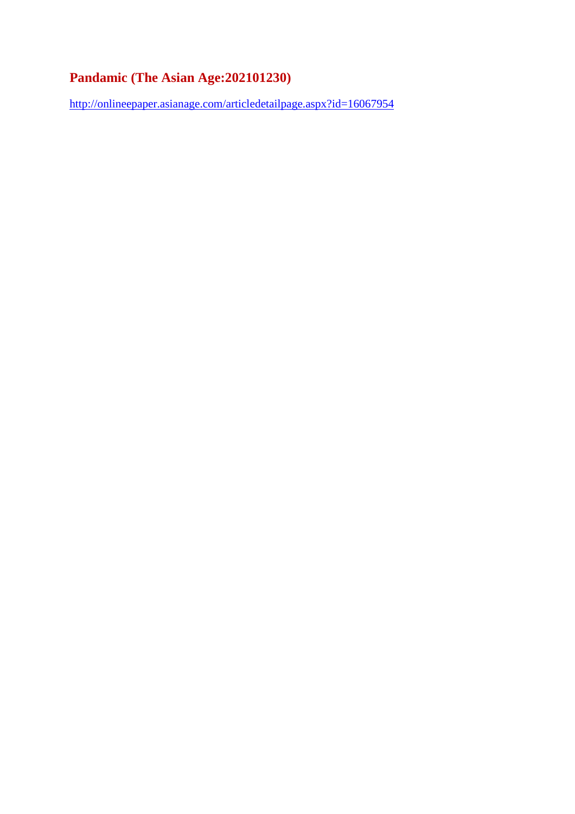# **Pandamic (The Asian Age:202101230)**

http://onlineepaper.asianage.com/articledetailpage.aspx?id=16067954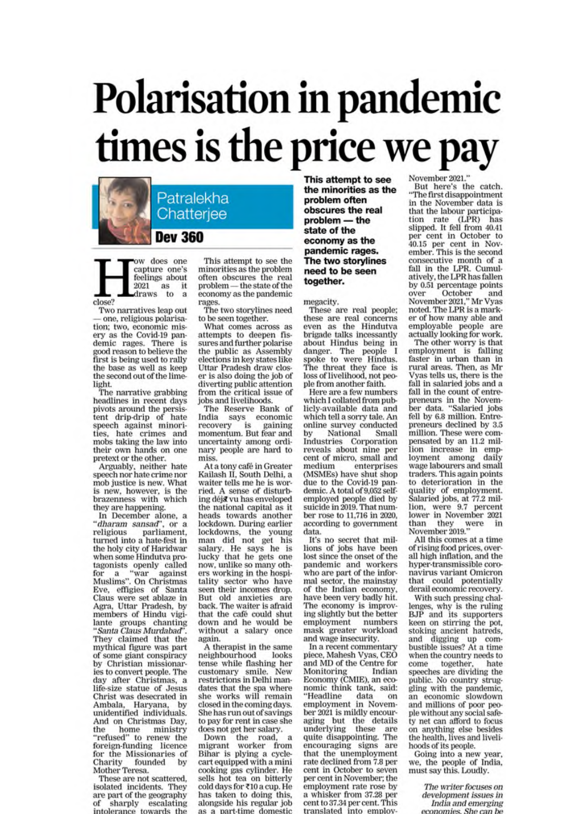# Polarisation in pandemic times is the price we pay



ow does one capture one's feelings about  $2021$  as it<br>draws to a

close?

Two narratives leap out one, religious polarisation; two, economic misery as the Covid-19 pandemic rages. There is<br>good reason to believe the first is being used to rally the base as well as keep the second out of the limelight.

The narrative grabbing headlines in recent days pivots around the persistent drip-drip of hate<br>speech against minorities, hate crimes and mobs taking the law into their own hands on one pretext or the other.

Arguably, neither hate<br>speech nor hate crime nor mob justice is new. What is new, however, is the<br>brazenness with which they are happening.

In December alone, a "dharam sansad", or a parliament. religious turned into a hate-fest in the holy city of Haridwar when some Hindutva protagonists openly called<br>for a "war against for a "war against<br>Muslims". On Christmas<br>Eve, effigies of Santa<br>Claus were set ablaze in<br>Agra, Uttar Pradesh, by members of Hindu vigilante groups chanting<br>"Santa Claus Murdabad". They claimed that the mythical figure was part of some giant conspiracy by Christian missionaries to convert people. The day after Christmas, a life-size statue of Jesus Christ was desecrated in Ambala, Haryana, by<br>unidentified individuals. And on Christmas Day, the home ministry<br>"refused" to renew the<br>foreign-funding licence for the Missionaries of Charity founded by Mother Teresa.

These are not scattered. isolated incidents. They are part of the geography of sharply escalating intolerance towards the

This attempt to see the minorities as the problem often obscures the real problem - the state of the economy as the pandemic rages.

The two storylines need to be seen together.

What comes across as<br>attempts to deepen fis-<br>sures and further polarise the public as Assembly elections in key states like Uttar Pradesh draw closer is also doing the job of diverting public attention from the critical issue of jobs and livelihoods.

The Reserve Bank of India says economic<br>recovery is gaining momentum. But fear and uncertainty among ordinary people are hard to miss.

At a tony café in Greater Kailash II, South Delhi, a waiter tells me he is worried. A sense of disturbing déj& vu has enveloped the national capital as it heads towards another lockdown. During earlier lockdowns, the young man did not get his salary. He says he is<br>lucky that he gets one now, unlike so many others working in the hospitality sector who have<br>seen their incomes drop. But old anxieties are<br>back. The waiter is afraid that the café could shut down and he would be without a salary once again.

A therapist in the same neighbourhood looks tense while flashing her customary smile. New<br>restrictions in Delhi mandates that the spa where<br>she works will remain closed in the coming days. She has run out of savings to pay for rent in case she does not get her salary.

Down the road, a<br>migrant worker from Bihar is plying a cyclecart equipped with a mini cooking gas cylinder. He sells hot tea on bitterly cold days for ₹10 a cup. He has taken to doing this, alongside his regular job as a part-time domestic

This attempt to see the minorities as the problem often obscures the real problem - the state of the economy as the pandemic rages. The two storylines need to be seen together.

megacity.

These are real people: these are real concerns<br>even as the Hindutva<br>brigade talks incessantly about Hindus being in<br>danger. The people I<br>spoke to were Hindus.<br>The threat they face is loss of livelihood, not people from another faith.

Here are a few numbers which I collated from publicly-available data and which tell a sorry tale. An online survey conducted bv National Small Industries Corporation reveals about nine per cent of micro, small and medium enterprises (MSMEs) have shut shop due to the Covid-19 pandemic. A total of 9,052 selfemployed people died by suicide in 2019. That number rose to 11,716 in 2020, according to government data.

It's no secret that millions of jobs have been lost since the onset of the pandemic and workers<br>who are part of the informal sector, the mainstay<br>of the Indian economy, have been very badly hit. The economy is improving slightly but the better employment numbers<br>mask greater workload and wage insecurity.

In a recent commentary piece, Mahesh Vyas, CEO and MD of the Centre for Monitoring Indian<br>Economy (CMIE), an eco-<br>nomic think tank, said: "Headline data on example the data on<br>employment in November 2021 is mildly encouraging but the details underlying these are<br>quite disappointing. The encouraging signs are that the unemployment rate declined from 7.8 per cent in October to seven per cent in November; the employment rate rose by a whisker from 37.28 per cent to 37.34 per cent. This translated into employNovember 2021.

But here's the catch. "The first disappointment in the November data is that the labour participa-<br>tion rate (LPR) has slipped. It fell from 40.41 per cent in October to 40.15 per cent in Nov-<br>ember. This is the second consecutive month of a fall in the LPR. Cumulatively, the LPR has fallen by 0.51 percentage points over October and<br>November 2021," Mr Vyas noted. The LPR is a marker of how many able and employable people are<br>actually looking for work.

The other worry is that<br>employment is falling faster in urban than in<br>rural areas. Then, as Mr Vyas tells us, there is the fall in salaried jobs and a fall in the count of entrepreneurs in the November<br>data. "Salaried jobs<br>fell by 6.8 million. Entrepreneurs declined by 3.5<br>million. These were compensated by an 11.2 million increase in employment among daily wage labourers and small traders. This again points to deterioration in the quality of employment. Salaried jobs, at 77.2 mil-<br>lion, were 9.7 percent<br>lower in November 2021 than they were in<br>November 2019."

All this comes at a time of rising food prices, overall high inflation, and the hyper-transmissible coronavirus variant Omicron that could potentially<br>derail economic recovery.

With such pressing challenges, why is the ruling<br>BJP and its supporters<br>keen on stirring the pot,<br>stoking ancient hatreds, and digging up com-<br>bustible issues? At a time when the country needs to come together, hate<br>speeches are dividing the public. No country strug-<br>gling with the pandemic, an economic slowdown and millions of poor people without any social safety net can afford to focus on anything else besides the health, lives and livelihoods of its people.

Going into a new year, we, the people of India, must say this. Loudly.

> The writer focuses on development issues in India and emerging momies. She can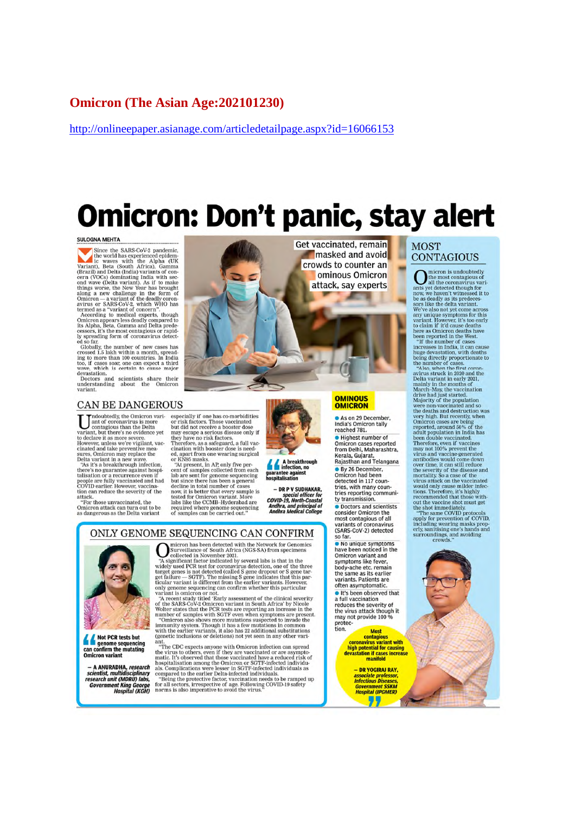## **Omicron (The Asian Age: 202101230)**

http://onlineepaper.asianage.com/articledetailpage.aspx?id=16066153

п

# **Omicron: Don't panic, stay alert**

#### **SULOGNA MEHTA**

**SULOGNA MEHTA**<br>
Since the SARS-CoV-2 pandemic,<br>
le world has experienced epidemic,<br>
le waves with the Alpha (UK<br>
Variant), Beta (South Africa), Gamma<br>
cern (VOCs) dominating India with sec-<br>
corn of the Alpha (UK<br>
(Brazi

mayor<br>Doctors and scientists share their<br>understanding about the Omicron<br>variant.

#### CAN BE DANGEROUS

ndoubtedly, the Omicron variant of coronavirus is more<br>contagious than the Delta<br>variant, but there's no evidence yet to declare it as more severe However, unless we're vigilant, vaccinated and take preventive mea<br>sures, Omicron may replace the

Delta variant in a new wave.<br>"As it's a breakthrough infection there's no guarantee against hospi talisation or a recurrence even if<br>people are fully vaccinated and had<br>COVID earlier. However, vaccination can reduce the severity of the

attack.<br>
"For those unvaccinated, the<br>
Omicron attack can turn out to be<br>
as dangerous as the Delta variant

especially if one has co-morbidities<br>or risk factors. Those vaccinated but did not receive a booster dose may escape a serious disease only if they have no risk factors Therefore, as a safeguard, a full vac-<br>cination with booster dose is need-

cination with booster dose is need-<br>ed., apart from one wearing surgical<br>"At pesent, in AP, only five per-<br>can to Samples collected from each<br>to the sense for genome sequencing<br>the are sent for genome sequencing<br>deline in required where genome sequencing<br>of samples can be carried out."

ONLY GENOME SEQUENCING CAN CONFIRM



guarantee against<br>hospitalisation

- DR P V SUDHAKAR. special officer for<br>COVID-19, North-Coastal **Andhra, and principal of<br>Andhra Medical College** 

Get vaccinated, remain masked and avoid crowds to counter an ominous Omicron attack, say experts

#### **OMINOUS OMICRON**

As on 29 December, India's Omicron tally reached 781.

**• Highest number of** Omicron cases reported from Delhi, Maharashtra, Kerala, Gujarat,<br>Kerala, Gujarat,<br>Rajasthan and Telangana

Sy 26 December,<br>Omicron had been detected in 117 countries, with many countries, with many coun-<br>tries reporting communi-<br>ty transmission.

• Doctors and scientists<br>consider Omicron the<br>most contagious of all<br>variants of coronavirus (SARS-CoV-2) detected so far.

No unique symptoms have been noticed in the<br>Omicron variant and<br>symptoms like fever,<br>body-ache etc. remain the same as its earlier variants, Patients are often asymptomatic

It's been observed that a full vaccination<br>a full vaccination<br>reduces the severity of<br>the virus attack though it may not provide 100 % protec-

> **Most MOST MOST CONTINUES**<br> **CONTINUES CONTINUES**<br> **CONTINUES IN THE MOST CONTINUES AND MOST CONTINUES CONTINUES AND MOST CONTINUES ON THE MOST CONTINUES OF THE MOST CONTINUES OF THE MOST CONTINUES OF THE MOST CONTINUES OF THE**

- DR YOGIRAJ RAY,<br>associate professor,<br>Infectious Diseases,<br>Government SSKM<br>Hospital (IPGMER) 77

#### **MOST CONTAGIOUS**

 $\begin{tabular}{rl} \hline \textbf{}} & \hline \textbf{}} & \hline & \textbf{inter} \\ \hline & \textbf{center of the model} \\ \hline & \textbf{all the coronarying vari-} \\ \hline & \textbf{all the coronarying vari-} \\ \hline & \textbf{low, we haven't with  
be as deadlock as its predecessor. \\ \hline & \textbf{We've also not yet come across  
any unique symptoms for this  
to claim. \\ \hline & \textbf{with the two column.} \\ \hline & \textbf{in the number of cases  
we  
increases in India, it can cause  
beem reported in the West. \\ \hline & \textbf{increases in India, it can cause  
huge descastion, with deaths$ micron is undoubtedly

Omicron cases are being<br>pointeron cases are being enjoyed around 50% of the adult population in India has<br>been double vaccinated.<br>Therefore, even if vaccines<br>may not 100% prevent the wiras and vaccine-generated<br>over the, i





**Example 1** genome sequencing<br>can confirm the mutating **Omicron** variant

- A ANURADHA, research<br>scientist, multidisciplinary<br>research unit (MDRU) labs, Government King George<br>Hospital (KGH)

VIE SEQUENCING CAIN COINFIRM<br>
The Strate of State and the total with the Network for Genomics<br>
minimal speed and the decay of Surveillance of South Africa (NGS-SA) from specimens<br>
"allected in November 2021.<br>
"We several l ant

Superior concerned with OC expected in the CDC expected that the compared the virtual control the virtual property the virtual property of the virtual control property complications were lesser in SCPTF-infected instituti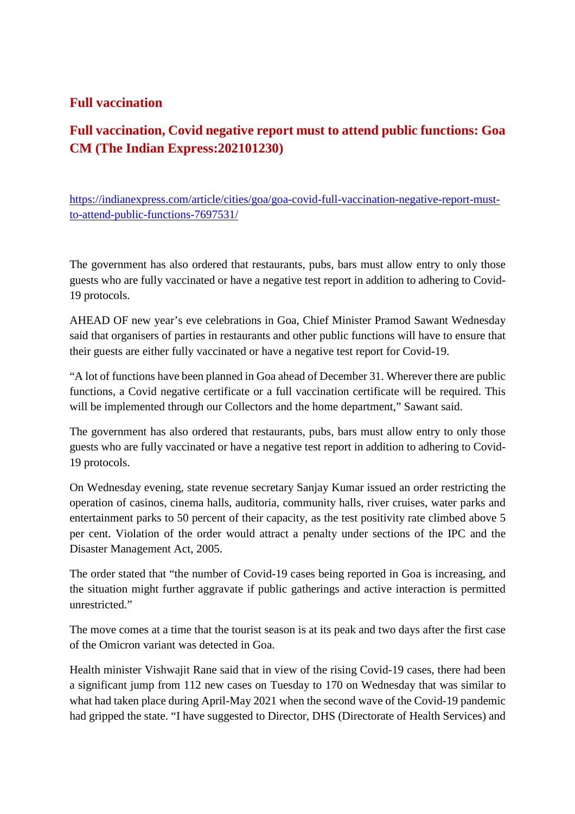# **Full vaccination**

# **Full vaccination, Covid negative report must to attend public functions: Goa CM (The Indian Express:202101230)**

https://indianexpress.com/article/cities/goa/goa-covid-full-vaccination-negative-report-mustto-attend-public-functions-7697531/

The government has also ordered that restaurants, pubs, bars must allow entry to only those guests who are fully vaccinated or have a negative test report in addition to adhering to Covid-19 protocols.

AHEAD OF new year's eve celebrations in Goa, Chief Minister Pramod Sawant Wednesday said that organisers of parties in restaurants and other public functions will have to ensure that their guests are either fully vaccinated or have a negative test report for Covid-19.

"A lot of functions have been planned in Goa ahead of December 31. Wherever there are public functions, a Covid negative certificate or a full vaccination certificate will be required. This will be implemented through our Collectors and the home department," Sawant said.

The government has also ordered that restaurants, pubs, bars must allow entry to only those guests who are fully vaccinated or have a negative test report in addition to adhering to Covid-19 protocols.

On Wednesday evening, state revenue secretary Sanjay Kumar issued an order restricting the operation of casinos, cinema halls, auditoria, community halls, river cruises, water parks and entertainment parks to 50 percent of their capacity, as the test positivity rate climbed above 5 per cent. Violation of the order would attract a penalty under sections of the IPC and the Disaster Management Act, 2005.

The order stated that "the number of Covid-19 cases being reported in Goa is increasing, and the situation might further aggravate if public gatherings and active interaction is permitted unrestricted."

The move comes at a time that the tourist season is at its peak and two days after the first case of the Omicron variant was detected in Goa.

Health minister Vishwajit Rane said that in view of the rising Covid-19 cases, there had been a significant jump from 112 new cases on Tuesday to 170 on Wednesday that was similar to what had taken place during April-May 2021 when the second wave of the Covid-19 pandemic had gripped the state. "I have suggested to Director, DHS (Directorate of Health Services) and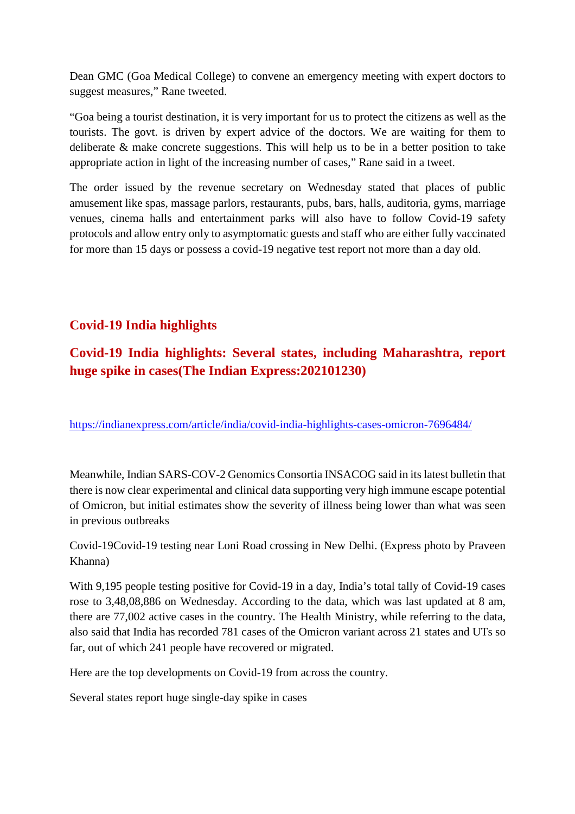Dean GMC (Goa Medical College) to convene an emergency meeting with expert doctors to suggest measures," Rane tweeted.

"Goa being a tourist destination, it is very important for us to protect the citizens as well as the tourists. The govt. is driven by expert advice of the doctors. We are waiting for them to deliberate & make concrete suggestions. This will help us to be in a better position to take appropriate action in light of the increasing number of cases," Rane said in a tweet.

The order issued by the revenue secretary on Wednesday stated that places of public amusement like spas, massage parlors, restaurants, pubs, bars, halls, auditoria, gyms, marriage venues, cinema halls and entertainment parks will also have to follow Covid-19 safety protocols and allow entry only to asymptomatic guests and staff who are either fully vaccinated for more than 15 days or possess a covid-19 negative test report not more than a day old.

# **Covid-19 India highlights**

# **Covid-19 India highlights: Several states, including Maharashtra, report huge spike in cases(The Indian Express:202101230)**

https://indianexpress.com/article/india/covid-india-highlights-cases-omicron-7696484/

Meanwhile, Indian SARS-COV-2 Genomics Consortia INSACOG said in its latest bulletin that there is now clear experimental and clinical data supporting very high immune escape potential of Omicron, but initial estimates show the severity of illness being lower than what was seen in previous outbreaks

Covid-19Covid-19 testing near Loni Road crossing in New Delhi. (Express photo by Praveen Khanna)

With 9,195 people testing positive for Covid-19 in a day, India's total tally of Covid-19 cases rose to 3,48,08,886 on Wednesday. According to the data, which was last updated at 8 am, there are 77,002 active cases in the country. The Health Ministry, while referring to the data, also said that India has recorded 781 cases of the Omicron variant across 21 states and UTs so far, out of which 241 people have recovered or migrated.

Here are the top developments on Covid-19 from across the country.

Several states report huge single-day spike in cases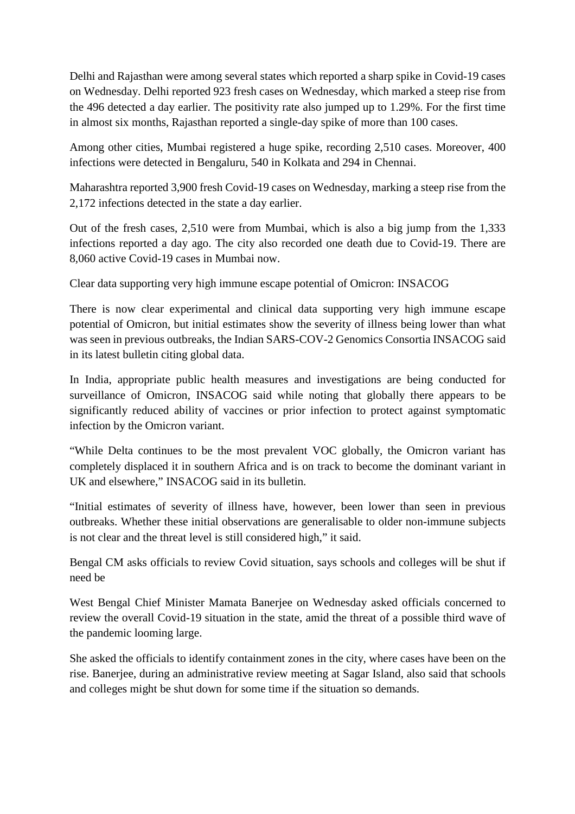Delhi and Rajasthan were among several states which reported a sharp spike in Covid-19 cases on Wednesday. Delhi reported 923 fresh cases on Wednesday, which marked a steep rise from the 496 detected a day earlier. The positivity rate also jumped up to 1.29%. For the first time in almost six months, Rajasthan reported a single-day spike of more than 100 cases.

Among other cities, Mumbai registered a huge spike, recording 2,510 cases. Moreover, 400 infections were detected in Bengaluru, 540 in Kolkata and 294 in Chennai.

Maharashtra reported 3,900 fresh Covid-19 cases on Wednesday, marking a steep rise from the 2,172 infections detected in the state a day earlier.

Out of the fresh cases, 2,510 were from Mumbai, which is also a big jump from the 1,333 infections reported a day ago. The city also recorded one death due to Covid-19. There are 8,060 active Covid-19 cases in Mumbai now.

Clear data supporting very high immune escape potential of Omicron: INSACOG

There is now clear experimental and clinical data supporting very high immune escape potential of Omicron, but initial estimates show the severity of illness being lower than what was seen in previous outbreaks, the Indian SARS-COV-2 Genomics Consortia INSACOG said in its latest bulletin citing global data.

In India, appropriate public health measures and investigations are being conducted for surveillance of Omicron, INSACOG said while noting that globally there appears to be significantly reduced ability of vaccines or prior infection to protect against symptomatic infection by the Omicron variant.

"While Delta continues to be the most prevalent VOC globally, the Omicron variant has completely displaced it in southern Africa and is on track to become the dominant variant in UK and elsewhere," INSACOG said in its bulletin.

"Initial estimates of severity of illness have, however, been lower than seen in previous outbreaks. Whether these initial observations are generalisable to older non-immune subjects is not clear and the threat level is still considered high," it said.

Bengal CM asks officials to review Covid situation, says schools and colleges will be shut if need be

West Bengal Chief Minister Mamata Banerjee on Wednesday asked officials concerned to review the overall Covid-19 situation in the state, amid the threat of a possible third wave of the pandemic looming large.

She asked the officials to identify containment zones in the city, where cases have been on the rise. Banerjee, during an administrative review meeting at Sagar Island, also said that schools and colleges might be shut down for some time if the situation so demands.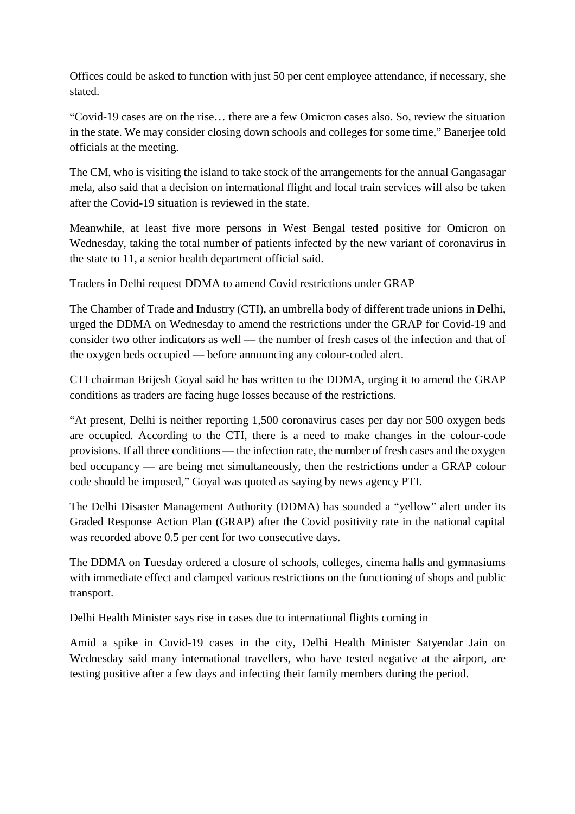Offices could be asked to function with just 50 per cent employee attendance, if necessary, she stated.

"Covid-19 cases are on the rise… there are a few Omicron cases also. So, review the situation in the state. We may consider closing down schools and colleges for some time," Banerjee told officials at the meeting.

The CM, who is visiting the island to take stock of the arrangements for the annual Gangasagar mela, also said that a decision on international flight and local train services will also be taken after the Covid-19 situation is reviewed in the state.

Meanwhile, at least five more persons in West Bengal tested positive for Omicron on Wednesday, taking the total number of patients infected by the new variant of coronavirus in the state to 11, a senior health department official said.

Traders in Delhi request DDMA to amend Covid restrictions under GRAP

The Chamber of Trade and Industry (CTI), an umbrella body of different trade unions in Delhi, urged the DDMA on Wednesday to amend the restrictions under the GRAP for Covid-19 and consider two other indicators as well — the number of fresh cases of the infection and that of the oxygen beds occupied — before announcing any colour-coded alert.

CTI chairman Brijesh Goyal said he has written to the DDMA, urging it to amend the GRAP conditions as traders are facing huge losses because of the restrictions.

"At present, Delhi is neither reporting 1,500 coronavirus cases per day nor 500 oxygen beds are occupied. According to the CTI, there is a need to make changes in the colour-code provisions. If all three conditions — the infection rate, the number of fresh cases and the oxygen bed occupancy — are being met simultaneously, then the restrictions under a GRAP colour code should be imposed," Goyal was quoted as saying by news agency PTI.

The Delhi Disaster Management Authority (DDMA) has sounded a "yellow" alert under its Graded Response Action Plan (GRAP) after the Covid positivity rate in the national capital was recorded above 0.5 per cent for two consecutive days.

The DDMA on Tuesday ordered a closure of schools, colleges, cinema halls and gymnasiums with immediate effect and clamped various restrictions on the functioning of shops and public transport.

Delhi Health Minister says rise in cases due to international flights coming in

Amid a spike in Covid-19 cases in the city, Delhi Health Minister Satyendar Jain on Wednesday said many international travellers, who have tested negative at the airport, are testing positive after a few days and infecting their family members during the period.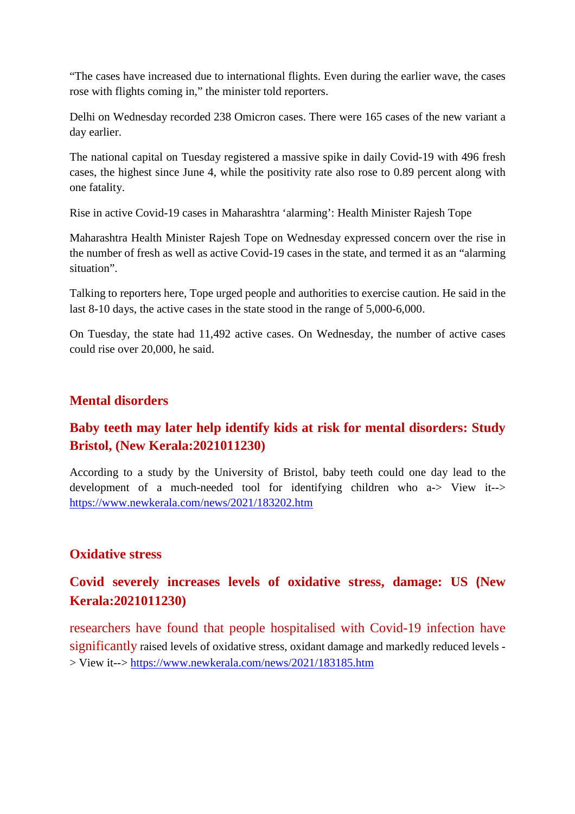"The cases have increased due to international flights. Even during the earlier wave, the cases rose with flights coming in," the minister told reporters.

Delhi on Wednesday recorded 238 Omicron cases. There were 165 cases of the new variant a day earlier.

The national capital on Tuesday registered a massive spike in daily Covid-19 with 496 fresh cases, the highest since June 4, while the positivity rate also rose to 0.89 percent along with one fatality.

Rise in active Covid-19 cases in Maharashtra 'alarming': Health Minister Rajesh Tope

Maharashtra Health Minister Rajesh Tope on Wednesday expressed concern over the rise in the number of fresh as well as active Covid-19 cases in the state, and termed it as an "alarming situation".

Talking to reporters here, Tope urged people and authorities to exercise caution. He said in the last 8-10 days, the active cases in the state stood in the range of 5,000-6,000.

On Tuesday, the state had 11,492 active cases. On Wednesday, the number of active cases could rise over 20,000, he said.

# **Mental disorders**

# **Baby teeth may later help identify kids at risk for mental disorders: Study Bristol, (New Kerala:2021011230)**

According to a study by the University of Bristol, baby teeth could one day lead to the development of a much-needed tool for identifying children who a-> View it--> https://www.newkerala.com/news/2021/183202.htm

# **Oxidative stress**

# **Covid severely increases levels of oxidative stress, damage: US (New Kerala:2021011230)**

researchers have found that people hospitalised with Covid-19 infection have significantly raised levels of oxidative stress, oxidant damage and markedly reduced levels -> View it--> https://www.newkerala.com/news/2021/183185.htm